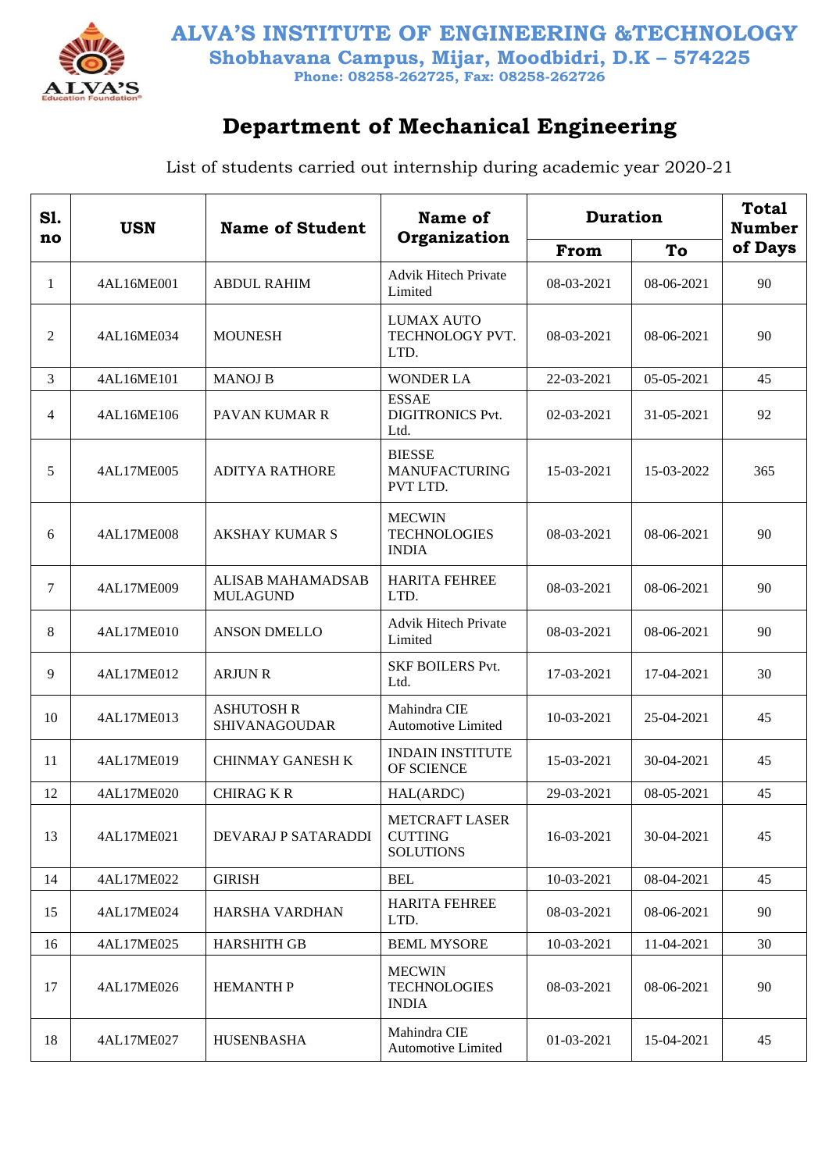

## **Department of Mechanical Engineering**

| S1.<br>no | <b>USN</b> | <b>Name of Student</b>               | Name of<br>Organization                                     | <b>Duration</b> | <b>Total</b><br><b>Number</b> |         |
|-----------|------------|--------------------------------------|-------------------------------------------------------------|-----------------|-------------------------------|---------|
|           |            |                                      |                                                             | From            | To                            | of Days |
| 1         | 4AL16ME001 | <b>ABDUL RAHIM</b>                   | <b>Advik Hitech Private</b><br>Limited                      | 08-03-2021      | 08-06-2021                    | 90      |
| 2         | 4AL16ME034 | <b>MOUNESH</b>                       | <b>LUMAX AUTO</b><br>TECHNOLOGY PVT.<br>LTD.                | 08-03-2021      | 08-06-2021                    | 90      |
| 3         | 4AL16ME101 | <b>MANOJ B</b>                       | <b>WONDER LA</b>                                            | 22-03-2021      | 05-05-2021                    | 45      |
| 4         | 4AL16ME106 | PAVAN KUMAR R                        | <b>ESSAE</b><br><b>DIGITRONICS Pvt.</b><br>Ltd.             | 02-03-2021      | 31-05-2021                    | 92      |
| 5         | 4AL17ME005 | <b>ADITYA RATHORE</b>                | <b>BIESSE</b><br><b>MANUFACTURING</b><br>PVT LTD.           | 15-03-2021      | 15-03-2022                    | 365     |
| 6         | 4AL17ME008 | <b>AKSHAY KUMAR S</b>                | <b>MECWIN</b><br><b>TECHNOLOGIES</b><br><b>INDIA</b>        | 08-03-2021      | 08-06-2021                    | 90      |
| 7         | 4AL17ME009 | ALISAB MAHAMADSAB<br><b>MULAGUND</b> | <b>HARITA FEHREE</b><br>LTD.                                | 08-03-2021      | 08-06-2021                    | 90      |
| 8         | 4AL17ME010 | <b>ANSON DMELLO</b>                  | <b>Advik Hitech Private</b><br>Limited                      | 08-03-2021      | 08-06-2021                    | 90      |
| 9         | 4AL17ME012 | <b>ARJUN R</b>                       | <b>SKF BOILERS Pvt.</b><br>Ltd.                             | 17-03-2021      | 17-04-2021                    | 30      |
| 10        | 4AL17ME013 | <b>ASHUTOSH R</b><br>SHIVANAGOUDAR   | Mahindra CIE<br><b>Automotive Limited</b>                   | 10-03-2021      | 25-04-2021                    | 45      |
| 11        | 4AL17ME019 | <b>CHINMAY GANESH K</b>              | <b>INDAIN INSTITUTE</b><br>OF SCIENCE                       | 15-03-2021      | 30-04-2021                    | 45      |
| 12        | 4AL17ME020 | <b>CHIRAG K R</b>                    | HAL(ARDC)                                                   | 29-03-2021      | 08-05-2021                    | 45      |
| 13        | 4AL17ME021 | DEVARAJ P SATARADDI                  | <b>METCRAFT LASER</b><br><b>CUTTING</b><br><b>SOLUTIONS</b> | 16-03-2021      | 30-04-2021                    | 45      |
| 14        | 4AL17ME022 | <b>GIRISH</b>                        | <b>BEL</b>                                                  | 10-03-2021      | 08-04-2021                    | 45      |
| 15        | 4AL17ME024 | HARSHA VARDHAN                       | <b>HARITA FEHREE</b><br>LTD.                                | 08-03-2021      | 08-06-2021                    | 90      |
| 16        | 4AL17ME025 | <b>HARSHITH GB</b>                   | <b>BEML MYSORE</b>                                          | 10-03-2021      | 11-04-2021                    | 30      |
| 17        | 4AL17ME026 | <b>HEMANTH P</b>                     | <b>MECWIN</b><br><b>TECHNOLOGIES</b><br><b>INDIA</b>        | 08-03-2021      | 08-06-2021                    | 90      |
| 18        | 4AL17ME027 | <b>HUSENBASHA</b>                    | Mahindra CIE<br><b>Automotive Limited</b>                   | 01-03-2021      | 15-04-2021                    | 45      |

List of students carried out internship during academic year 2020-21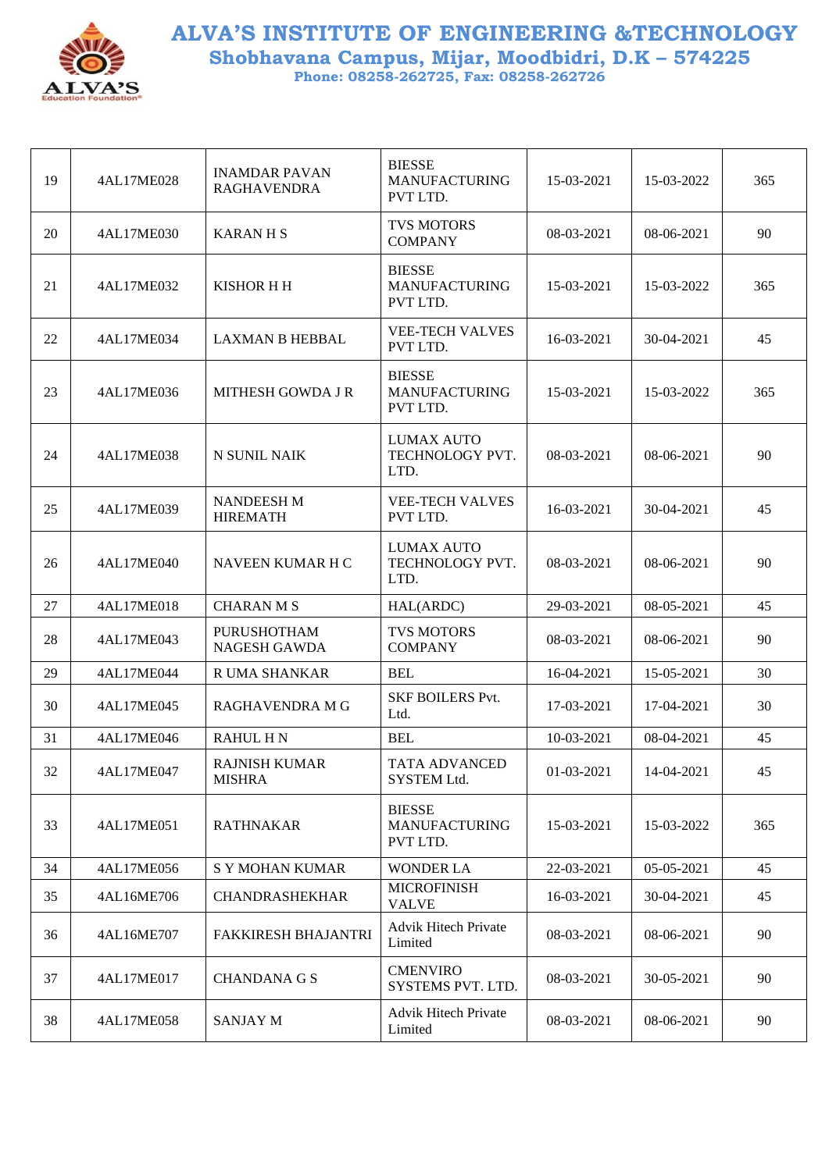

| 19 | 4AL17ME028 | <b>INAMDAR PAVAN</b><br><b>RAGHAVENDRA</b> | <b>BIESSE</b><br><b>MANUFACTURING</b><br>PVT LTD. | 15-03-2021 | 15-03-2022   | 365 |
|----|------------|--------------------------------------------|---------------------------------------------------|------------|--------------|-----|
| 20 | 4AL17ME030 | <b>KARANHS</b>                             | <b>TVS MOTORS</b><br><b>COMPANY</b>               | 08-03-2021 | 08-06-2021   | 90  |
| 21 | 4AL17ME032 | <b>KISHOR H H</b>                          | <b>BIESSE</b><br><b>MANUFACTURING</b><br>PVT LTD. | 15-03-2021 | 15-03-2022   | 365 |
| 22 | 4AL17ME034 | <b>LAXMAN B HEBBAL</b>                     | <b>VEE-TECH VALVES</b><br>PVT LTD.                | 16-03-2021 | 30-04-2021   | 45  |
| 23 | 4AL17ME036 | MITHESH GOWDA J R                          | <b>BIESSE</b><br><b>MANUFACTURING</b><br>PVT LTD. | 15-03-2021 | 15-03-2022   | 365 |
| 24 | 4AL17ME038 | N SUNIL NAIK                               | <b>LUMAX AUTO</b><br>TECHNOLOGY PVT.<br>LTD.      | 08-03-2021 | $08-06-2021$ | 90  |
| 25 | 4AL17ME039 | <b>NANDEESH M</b><br><b>HIREMATH</b>       | <b>VEE-TECH VALVES</b><br>PVT LTD.                | 16-03-2021 | $30-04-2021$ | 45  |
| 26 | 4AL17ME040 | NAVEEN KUMAR H C                           | LUMAX AUTO<br>TECHNOLOGY PVT.<br>LTD.             | 08-03-2021 | 08-06-2021   | 90  |
| 27 | 4AL17ME018 | <b>CHARAN M S</b>                          | HAL(ARDC)                                         | 29-03-2021 | 08-05-2021   | 45  |
| 28 | 4AL17ME043 | <b>PURUSHOTHAM</b><br><b>NAGESH GAWDA</b>  | <b>TVS MOTORS</b><br><b>COMPANY</b>               | 08-03-2021 | 08-06-2021   | 90  |
| 29 | 4AL17ME044 | R UMA SHANKAR                              | <b>BEL</b>                                        | 16-04-2021 | 15-05-2021   | 30  |
| 30 | 4AL17ME045 | RAGHAVENDRA M G                            | <b>SKF BOILERS Pvt.</b><br>Ltd.                   | 17-03-2021 | 17-04-2021   | 30  |
| 31 | 4AL17ME046 | <b>RAHUL HN</b>                            | <b>BEL</b>                                        | 10-03-2021 | 08-04-2021   | 45  |
| 32 | 4AL17ME047 | <b>RAJNISH KUMAR</b><br><b>MISHRA</b>      | <b>TATA ADVANCED</b><br>SYSTEM Ltd.               | 01-03-2021 | 14-04-2021   | 45  |
| 33 | 4AL17ME051 | <b>RATHNAKAR</b>                           | <b>BIESSE</b><br><b>MANUFACTURING</b><br>PVT LTD. | 15-03-2021 | 15-03-2022   | 365 |
| 34 | 4AL17ME056 | <b>S Y MOHAN KUMAR</b>                     | <b>WONDER LA</b>                                  | 22-03-2021 | 05-05-2021   | 45  |
| 35 | 4AL16ME706 | <b>CHANDRASHEKHAR</b>                      | <b>MICROFINISH</b><br><b>VALVE</b>                | 16-03-2021 | 30-04-2021   | 45  |
| 36 | 4AL16ME707 | FAKKIRESH BHAJANTRI                        | <b>Advik Hitech Private</b><br>Limited            | 08-03-2021 | 08-06-2021   | 90  |
| 37 | 4AL17ME017 | <b>CHANDANA G S</b>                        | <b>CMENVIRO</b><br>SYSTEMS PVT. LTD.              | 08-03-2021 | 30-05-2021   | 90  |
| 38 | 4AL17ME058 | <b>SANJAY M</b>                            | <b>Advik Hitech Private</b><br>Limited            | 08-03-2021 | 08-06-2021   | 90  |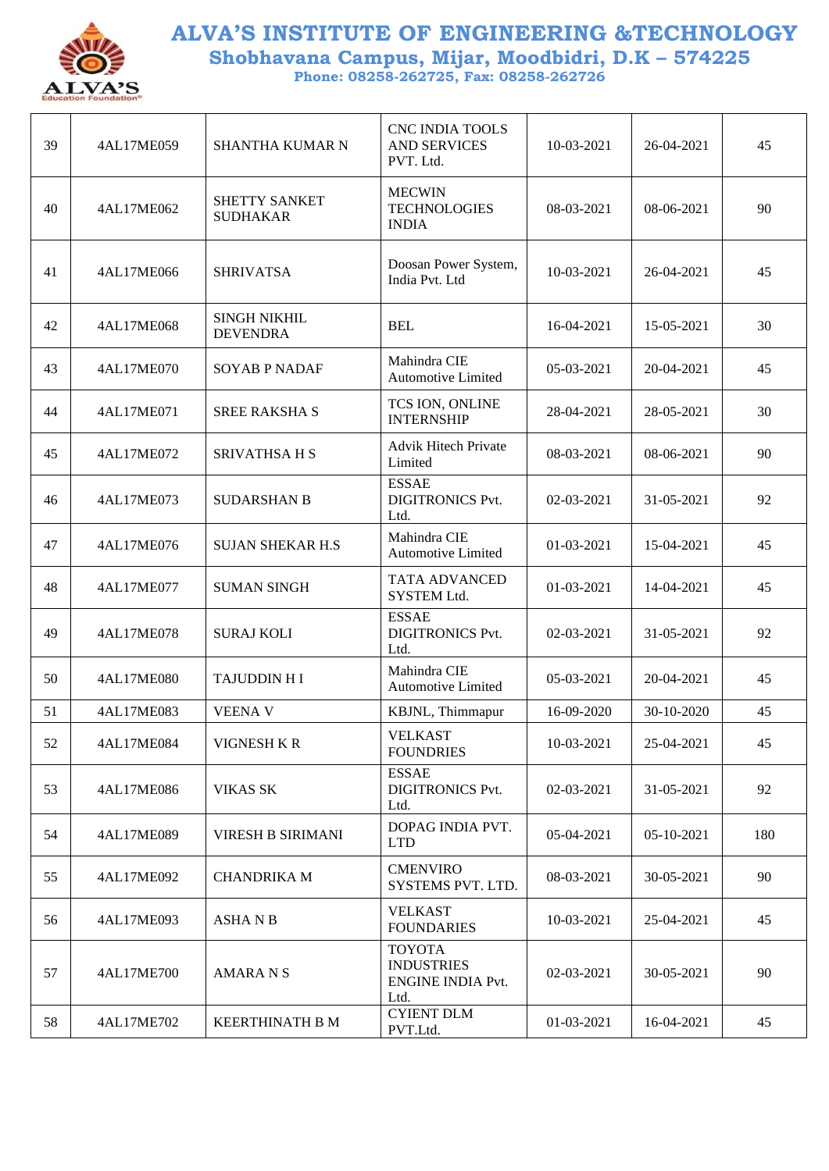

| 39 | 4AL17ME059 | SHANTHA KUMAR N                        | <b>CNC INDIA TOOLS</b><br><b>AND SERVICES</b><br>PVT. Ltd.             | 10-03-2021 | 26-04-2021 | 45  |
|----|------------|----------------------------------------|------------------------------------------------------------------------|------------|------------|-----|
| 40 | 4AL17ME062 | SHETTY SANKET<br><b>SUDHAKAR</b>       | <b>MECWIN</b><br><b>TECHNOLOGIES</b><br><b>INDIA</b>                   | 08-03-2021 | 08-06-2021 | 90  |
| 41 | 4AL17ME066 | <b>SHRIVATSA</b>                       | Doosan Power System,<br>India Pvt. Ltd                                 | 10-03-2021 | 26-04-2021 | 45  |
| 42 | 4AL17ME068 | <b>SINGH NIKHIL</b><br><b>DEVENDRA</b> | <b>BEL</b>                                                             | 16-04-2021 | 15-05-2021 | 30  |
| 43 | 4AL17ME070 | <b>SOYAB P NADAF</b>                   | Mahindra CIE<br>Automotive Limited                                     | 05-03-2021 | 20-04-2021 | 45  |
| 44 | 4AL17ME071 | <b>SREE RAKSHA S</b>                   | TCS ION, ONLINE<br><b>INTERNSHIP</b>                                   | 28-04-2021 | 28-05-2021 | 30  |
| 45 | 4AL17ME072 | <b>SRIVATHSA H S</b>                   | <b>Advik Hitech Private</b><br>Limited                                 | 08-03-2021 | 08-06-2021 | 90  |
| 46 | 4AL17ME073 | <b>SUDARSHAN B</b>                     | <b>ESSAE</b><br><b>DIGITRONICS Pvt.</b><br>Ltd.                        | 02-03-2021 | 31-05-2021 | 92  |
| 47 | 4AL17ME076 | <b>SUJAN SHEKAR H.S</b>                | Mahindra CIE<br>Automotive Limited                                     | 01-03-2021 | 15-04-2021 | 45  |
| 48 | 4AL17ME077 | <b>SUMAN SINGH</b>                     | TATA ADVANCED<br>SYSTEM Ltd.                                           | 01-03-2021 | 14-04-2021 | 45  |
| 49 | 4AL17ME078 | <b>SURAJ KOLI</b>                      | <b>ESSAE</b><br><b>DIGITRONICS Pvt.</b><br>Ltd.                        | 02-03-2021 | 31-05-2021 | 92  |
| 50 | 4AL17ME080 | <b>TAJUDDIN HI</b>                     | Mahindra CIE<br><b>Automotive Limited</b>                              | 05-03-2021 | 20-04-2021 | 45  |
| 51 | 4AL17ME083 | <b>VEENA V</b>                         | KBJNL, Thimmapur                                                       | 16-09-2020 | 30-10-2020 | 45  |
| 52 | 4AL17ME084 | VIGNESH K R                            | <b>VELKAST</b><br><b>FOUNDRIES</b>                                     | 10-03-2021 | 25-04-2021 | 45  |
| 53 | 4AL17ME086 | <b>VIKAS SK</b>                        | <b>ESSAE</b><br><b>DIGITRONICS Pvt.</b><br>Ltd.                        | 02-03-2021 | 31-05-2021 | 92  |
| 54 | 4AL17ME089 | <b>VIRESH B SIRIMANI</b>               | DOPAG INDIA PVT.<br><b>LTD</b>                                         | 05-04-2021 | 05-10-2021 | 180 |
| 55 | 4AL17ME092 | <b>CHANDRIKA M</b>                     | <b>CMENVIRO</b><br>SYSTEMS PVT. LTD.                                   | 08-03-2021 | 30-05-2021 | 90  |
| 56 | 4AL17ME093 | <b>ASHANB</b>                          | <b>VELKAST</b><br><b>FOUNDARIES</b>                                    | 10-03-2021 | 25-04-2021 | 45  |
| 57 | 4AL17ME700 | <b>AMARA N S</b>                       | <b>TOYOTA</b><br><b>INDUSTRIES</b><br><b>ENGINE INDIA Pvt.</b><br>Ltd. | 02-03-2021 | 30-05-2021 | 90  |
| 58 | 4AL17ME702 | <b>KEERTHINATH B M</b>                 | <b>CYIENT DLM</b><br>PVT.Ltd.                                          | 01-03-2021 | 16-04-2021 | 45  |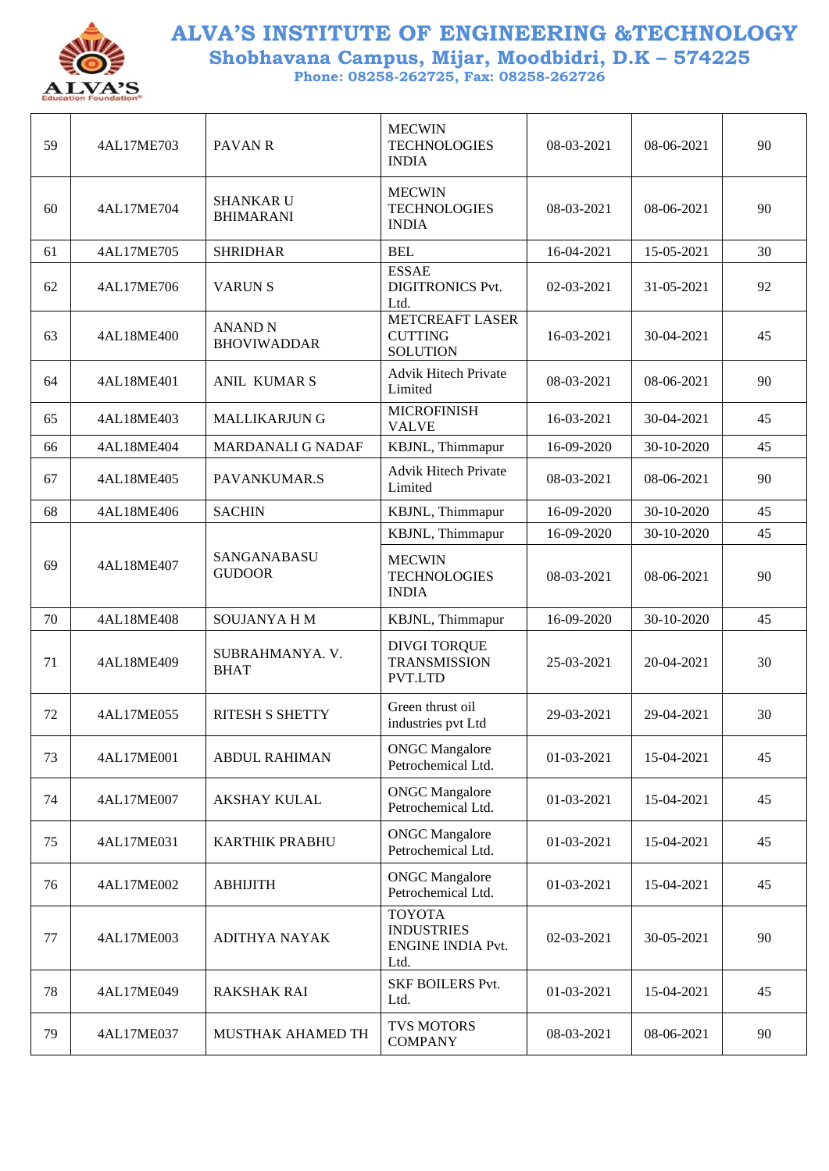

| 59 | 4AL17ME703 | <b>PAVAN R</b>                       | <b>MECWIN</b><br><b>TECHNOLOGIES</b><br><b>INDIA</b>                   | 08-03-2021 | 08-06-2021 | 90 |
|----|------------|--------------------------------------|------------------------------------------------------------------------|------------|------------|----|
| 60 | 4AL17ME704 | <b>SHANKAR U</b><br><b>BHIMARANI</b> | <b>MECWIN</b><br><b>TECHNOLOGIES</b><br><b>INDIA</b>                   | 08-03-2021 | 08-06-2021 | 90 |
| 61 | 4AL17ME705 | <b>SHRIDHAR</b>                      | <b>BEL</b>                                                             | 16-04-2021 | 15-05-2021 | 30 |
| 62 | 4AL17ME706 | <b>VARUNS</b>                        | <b>ESSAE</b><br><b>DIGITRONICS Pvt.</b><br>Ltd.                        | 02-03-2021 | 31-05-2021 | 92 |
| 63 | 4AL18ME400 | <b>ANAND N</b><br><b>BHOVIWADDAR</b> | <b>METCREAFT LASER</b><br><b>CUTTING</b><br><b>SOLUTION</b>            | 16-03-2021 | 30-04-2021 | 45 |
| 64 | 4AL18ME401 | <b>ANIL KUMARS</b>                   | <b>Advik Hitech Private</b><br>Limited                                 | 08-03-2021 | 08-06-2021 | 90 |
| 65 | 4AL18ME403 | <b>MALLIKARJUN G</b>                 | <b>MICROFINISH</b><br><b>VALVE</b>                                     | 16-03-2021 | 30-04-2021 | 45 |
| 66 | 4AL18ME404 | MARDANALI G NADAF                    | KBJNL, Thimmapur                                                       | 16-09-2020 | 30-10-2020 | 45 |
| 67 | 4AL18ME405 | PAVANKUMAR.S                         | <b>Advik Hitech Private</b><br>Limited                                 | 08-03-2021 | 08-06-2021 | 90 |
| 68 | 4AL18ME406 | <b>SACHIN</b>                        | KBJNL, Thimmapur                                                       | 16-09-2020 | 30-10-2020 | 45 |
|    |            |                                      | KBJNL, Thimmapur                                                       | 16-09-2020 | 30-10-2020 | 45 |
| 69 | 4AL18ME407 | SANGANABASU<br><b>GUDOOR</b>         | <b>MECWIN</b><br><b>TECHNOLOGIES</b><br><b>INDIA</b>                   | 08-03-2021 | 08-06-2021 | 90 |
| 70 | 4AL18ME408 | SOUJANYA H M                         | KBJNL, Thimmapur                                                       | 16-09-2020 | 30-10-2020 | 45 |
| 71 | 4AL18ME409 | SUBRAHMANYA. V.<br><b>BHAT</b>       | <b>DIVGI TORQUE</b><br><b>TRANSMISSION</b><br>PVT.LTD                  | 25-03-2021 | 20-04-2021 | 30 |
| 72 | 4AL17ME055 | <b>RITESH S SHETTY</b>               | Green thrust oil<br>industries pvt Ltd                                 | 29-03-2021 | 29-04-2021 | 30 |
| 73 | 4AL17ME001 | <b>ABDUL RAHIMAN</b>                 | <b>ONGC</b> Mangalore<br>Petrochemical Ltd.                            | 01-03-2021 | 15-04-2021 | 45 |
| 74 | 4AL17ME007 | <b>AKSHAY KULAL</b>                  | <b>ONGC</b> Mangalore<br>Petrochemical Ltd.                            | 01-03-2021 | 15-04-2021 | 45 |
| 75 | 4AL17ME031 | <b>KARTHIK PRABHU</b>                | <b>ONGC</b> Mangalore<br>Petrochemical Ltd.                            | 01-03-2021 | 15-04-2021 | 45 |
| 76 | 4AL17ME002 | <b>ABHIJITH</b>                      | <b>ONGC</b> Mangalore<br>Petrochemical Ltd.                            | 01-03-2021 | 15-04-2021 | 45 |
| 77 | 4AL17ME003 | ADITHYA NAYAK                        | <b>TOYOTA</b><br><b>INDUSTRIES</b><br><b>ENGINE INDIA Pvt.</b><br>Ltd. | 02-03-2021 | 30-05-2021 | 90 |
| 78 | 4AL17ME049 | <b>RAKSHAK RAI</b>                   | <b>SKF BOILERS Pvt.</b><br>Ltd.                                        | 01-03-2021 | 15-04-2021 | 45 |
| 79 | 4AL17ME037 | MUSTHAK AHAMED TH                    | <b>TVS MOTORS</b><br><b>COMPANY</b>                                    | 08-03-2021 | 08-06-2021 | 90 |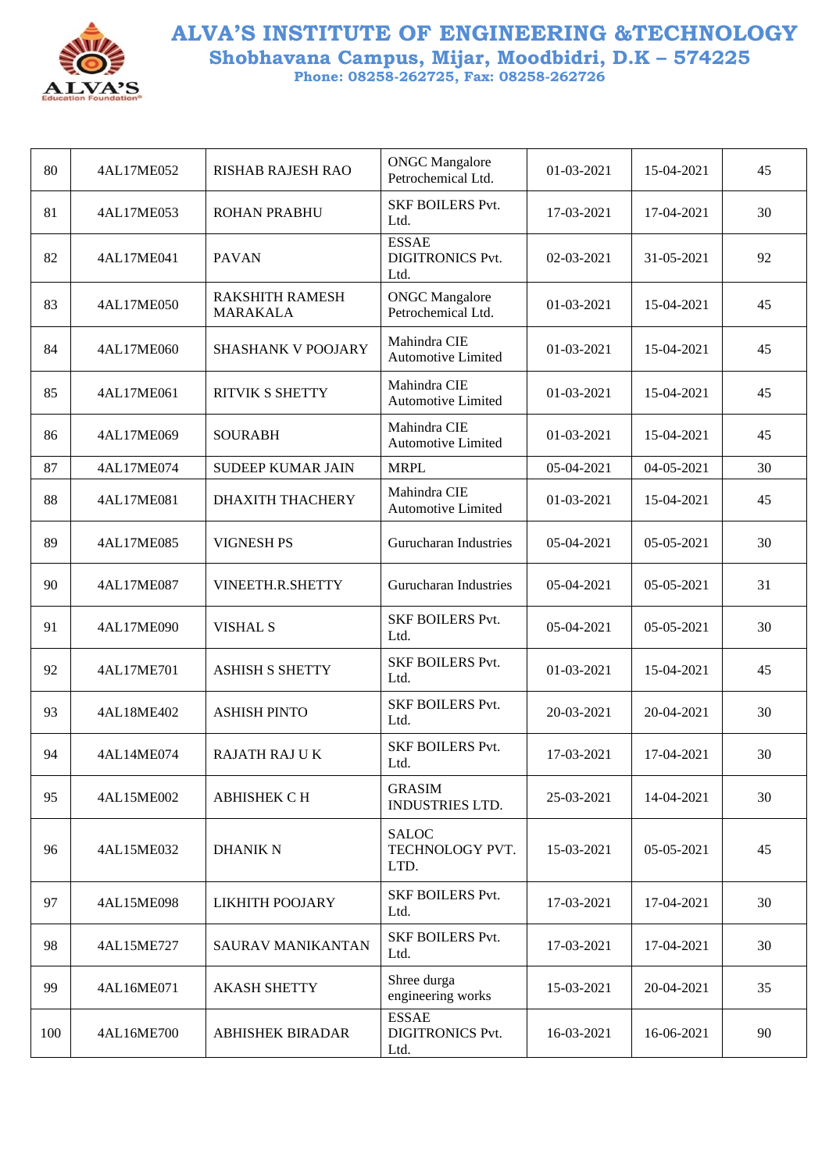

| 80  | 4AL17ME052 | <b>RISHAB RAJESH RAO</b>                  | <b>ONGC</b> Mangalore<br>Petrochemical Ltd.     | 01-03-2021 | 15-04-2021 | 45 |
|-----|------------|-------------------------------------------|-------------------------------------------------|------------|------------|----|
| 81  | 4AL17ME053 | <b>ROHAN PRABHU</b>                       | <b>SKF BOILERS Pvt.</b><br>Ltd.                 | 17-03-2021 | 17-04-2021 | 30 |
| 82  | 4AL17ME041 | <b>PAVAN</b>                              | <b>ESSAE</b><br><b>DIGITRONICS Pvt.</b><br>Ltd. | 02-03-2021 | 31-05-2021 | 92 |
| 83  | 4AL17ME050 | <b>RAKSHITH RAMESH</b><br><b>MARAKALA</b> | <b>ONGC</b> Mangalore<br>Petrochemical Ltd.     | 01-03-2021 | 15-04-2021 | 45 |
| 84  | 4AL17ME060 | SHASHANK V POOJARY                        | Mahindra CIE<br><b>Automotive Limited</b>       | 01-03-2021 | 15-04-2021 | 45 |
| 85  | 4AL17ME061 | <b>RITVIK S SHETTY</b>                    | Mahindra CIE<br><b>Automotive Limited</b>       | 01-03-2021 | 15-04-2021 | 45 |
| 86  | 4AL17ME069 | <b>SOURABH</b>                            | Mahindra CIE<br><b>Automotive Limited</b>       | 01-03-2021 | 15-04-2021 | 45 |
| 87  | 4AL17ME074 | <b>SUDEEP KUMAR JAIN</b>                  | <b>MRPL</b>                                     | 05-04-2021 | 04-05-2021 | 30 |
| 88  | 4AL17ME081 | <b>DHAXITH THACHERY</b>                   | Mahindra CIE<br><b>Automotive Limited</b>       | 01-03-2021 | 15-04-2021 | 45 |
| 89  | 4AL17ME085 | <b>VIGNESH PS</b>                         | Gurucharan Industries                           | 05-04-2021 | 05-05-2021 | 30 |
| 90  | 4AL17ME087 | VINEETH.R.SHETTY                          | Gurucharan Industries                           | 05-04-2021 | 05-05-2021 | 31 |
| 91  | 4AL17ME090 | <b>VISHAL S</b>                           | <b>SKF BOILERS Pvt.</b><br>Ltd.                 | 05-04-2021 | 05-05-2021 | 30 |
| 92  | 4AL17ME701 | <b>ASHISH S SHETTY</b>                    | <b>SKF BOILERS Pvt.</b><br>Ltd.                 | 01-03-2021 | 15-04-2021 | 45 |
| 93  | 4AL18ME402 | <b>ASHISH PINTO</b>                       | <b>SKF BOILERS Pvt.</b><br>Ltd.                 | 20-03-2021 | 20-04-2021 | 30 |
| 94  | 4AL14ME074 | <b>RAJATH RAJ UK</b>                      | <b>SKF BOILERS Pvt.</b><br>Ltd.                 | 17-03-2021 | 17-04-2021 | 30 |
| 95  | 4AL15ME002 | <b>ABHISHEK C H</b>                       | <b>GRASIM</b><br><b>INDUSTRIES LTD.</b>         | 25-03-2021 | 14-04-2021 | 30 |
| 96  | 4AL15ME032 | <b>DHANIK N</b>                           | <b>SALOC</b><br>TECHNOLOGY PVT.<br>LTD.         | 15-03-2021 | 05-05-2021 | 45 |
| 97  | 4AL15ME098 | LIKHITH POOJARY                           | <b>SKF BOILERS Pvt.</b><br>Ltd.                 | 17-03-2021 | 17-04-2021 | 30 |
| 98  | 4AL15ME727 | <b>SAURAV MANIKANTAN</b>                  | <b>SKF BOILERS Pvt.</b><br>Ltd.                 | 17-03-2021 | 17-04-2021 | 30 |
| 99  | 4AL16ME071 | <b>AKASH SHETTY</b>                       | Shree durga<br>engineering works                | 15-03-2021 | 20-04-2021 | 35 |
| 100 | 4AL16ME700 | <b>ABHISHEK BIRADAR</b>                   | <b>ESSAE</b><br><b>DIGITRONICS Pvt.</b><br>Ltd. | 16-03-2021 | 16-06-2021 | 90 |